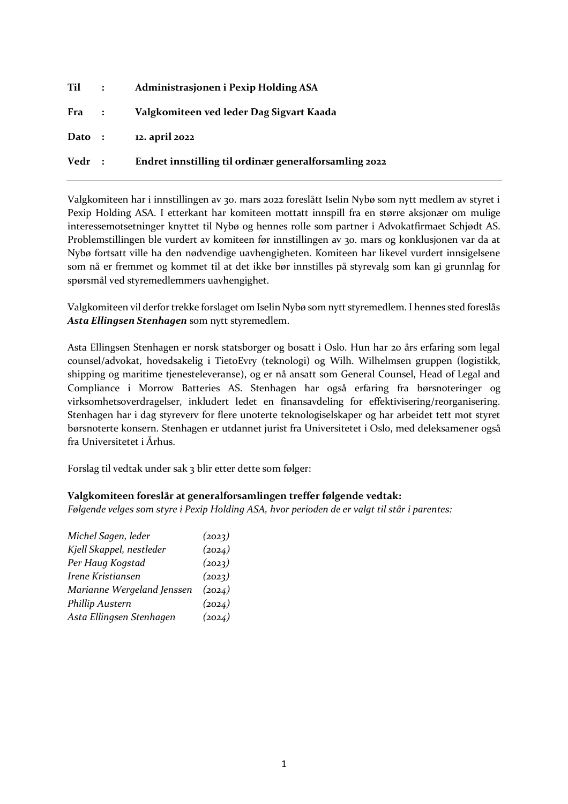|        | Til : | Administrasjonen i Pexip Holding ASA                  |
|--------|-------|-------------------------------------------------------|
| Fra :  |       | Valgkomiteen ved leder Dag Sigvart Kaada              |
| Dato : |       | 12. april 2022                                        |
| Vedr : |       | Endret innstilling til ordinær generalforsamling 2022 |

Valgkomiteen har i innstillingen av 30. mars 2022 foreslått Iselin Nybø som nytt medlem av styret i Pexip Holding ASA. I etterkant har komiteen mottatt innspill fra en større aksjonær om mulige interessemotsetninger knyttet til Nybø og hennes rolle som partner i Advokatfirmaet Schjødt AS. Problemstillingen ble vurdert av komiteen før innstillingen av 30. mars og konklusjonen var da at Nybø fortsatt ville ha den nødvendige uavhengigheten. Komiteen har likevel vurdert innsigelsene som nå er fremmet og kommet til at det ikke bør innstilles på styrevalg som kan gi grunnlag for spørsmål ved styremedlemmers uavhengighet.

Valgkomiteen vil derfor trekke forslaget om Iselin Nybø som nytt styremedlem. I hennes sted foreslås *Asta Ellingsen Stenhagen* som nytt styremedlem.

Asta Ellingsen Stenhagen er norsk statsborger og bosatt i Oslo. Hun har 20 års erfaring som legal counsel/advokat, hovedsakelig i TietoEvry (teknologi) og Wilh. Wilhelmsen gruppen (logistikk, shipping og maritime tjenesteleveranse), og er nå ansatt som General Counsel, Head of Legal and Compliance i Morrow Batteries AS. Stenhagen har også erfaring fra børsnoteringer og virksomhetsoverdragelser, inkludert ledet en finansavdeling for effektivisering/reorganisering. Stenhagen har i dag styreverv for flere unoterte teknologiselskaper og har arbeidet tett mot styret børsnoterte konsern. Stenhagen er utdannet jurist fra Universitetet i Oslo, med deleksamener også fra Universitetet i Århus.

Forslag til vedtak under sak 3 blir etter dette som følger:

## **Valgkomiteen foreslår at generalforsamlingen treffer følgende vedtak:**

*Følgende velges som styre i Pexip Holding ASA, hvor perioden de er valgt til står i parentes:* 

| Michel Sagen, leder        | (2023) |
|----------------------------|--------|
| Kjell Skappel, nestleder   | (2024) |
| Per Haug Kogstad           | (2023) |
| Irene Kristiansen          | (2023) |
| Marianne Wergeland Jenssen | (2024) |
| Phillip Austern            | (2024) |
| Asta Ellingsen Stenhagen   | (2024) |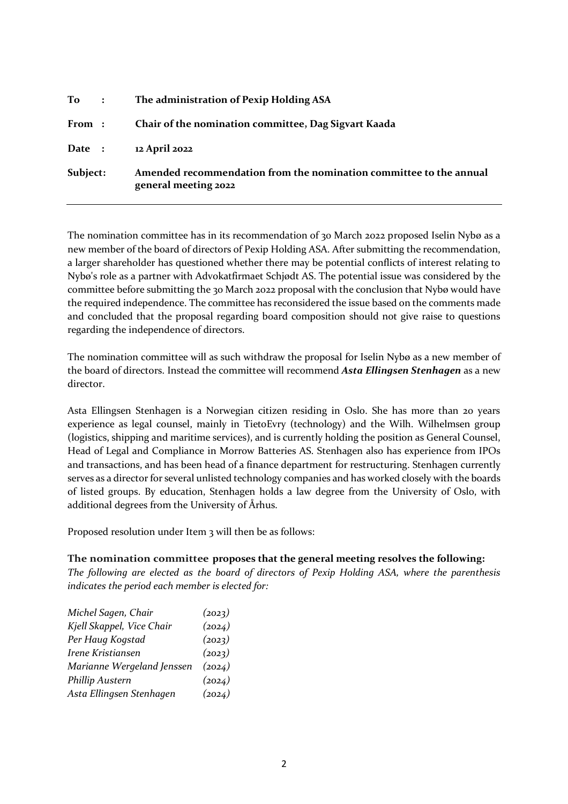| $\mathbf{To}$ : | The administration of Pexip Holding ASA                                                    |
|-----------------|--------------------------------------------------------------------------------------------|
| From :          | Chair of the nomination committee, Dag Sigvart Kaada                                       |
| Date :          | 12 April 2022                                                                              |
| Subject:        | Amended recommendation from the nomination committee to the annual<br>general meeting 2022 |

The nomination committee has in its recommendation of 30 March 2022 proposed Iselin Nybø as a new member of the board of directors of Pexip Holding ASA. After submitting the recommendation, a larger shareholder has questioned whether there may be potential conflicts of interest relating to Nybø's role as a partner with Advokatfirmaet Schjødt AS. The potential issue was considered by the committee before submitting the 30 March 2022 proposal with the conclusion that Nybø would have the required independence. The committee has reconsidered the issue based on the comments made and concluded that the proposal regarding board composition should not give raise to questions regarding the independence of directors.

The nomination committee will as such withdraw the proposal for Iselin Nybø as a new member of the board of directors. Instead the committee will recommend *Asta Ellingsen Stenhagen* as a new director.

Asta Ellingsen Stenhagen is a Norwegian citizen residing in Oslo. She has more than 20 years experience as legal counsel, mainly in TietoEvry (technology) and the Wilh. Wilhelmsen group (logistics, shipping and maritime services), and is currently holding the position as General Counsel, Head of Legal and Compliance in Morrow Batteries AS. Stenhagen also has experience from IPOs and transactions, and has been head of a finance department for restructuring. Stenhagen currently serves as a director for several unlisted technology companies and has worked closely with the boards of listed groups. By education, Stenhagen holds a law degree from the University of Oslo, with additional degrees from the University of Århus.

Proposed resolution under Item 3 will then be as follows:

## **The nomination committee proposes that the general meeting resolves the following:**

*The following are elected as the board of directors of Pexip Holding ASA, where the parenthesis indicates the period each member is elected for:*

| Michel Sagen, Chair        | (2023) |
|----------------------------|--------|
| Kjell Skappel, Vice Chair  | (2024) |
| Per Haug Kogstad           | (2023) |
| Irene Kristiansen          | (2023) |
| Marianne Wergeland Jenssen | (2024) |
| Phillip Austern            | (2024) |
| Asta Ellingsen Stenhagen   | (2024) |